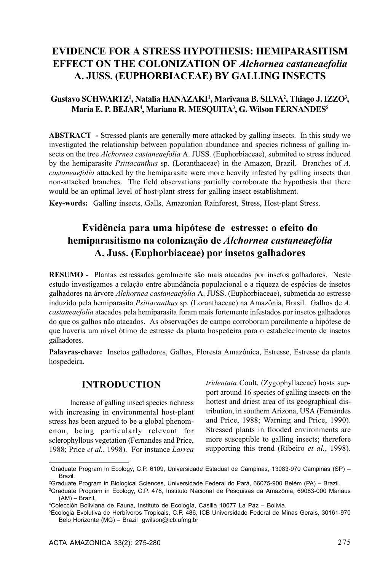# **EVIDENCE FOR A STRESS HYPOTHESIS: HEMIPARASITISM EFFECT ON THE COLONIZATION OF** *Alchornea castaneaefolia* **A. JUSS. (EUPHORBIACEAE) BY GALLING INSECTS**

## $G$ ustavo SCHWARTZ<sup>1</sup>, Natalia HANAZAKI<sup>1</sup>, Marivana B. SILVA<sup>2</sup>, Thiago J. IZZO<sup>3</sup>, **María E. P. BEJAR4 , Mariana R. MESQUITA3 , G. Wilson FERNANDES5**

**ABSTRACT -** Stressed plants are generally more attacked by galling insects. In this study we investigated the relationship between population abundance and species richness of galling insects on the tree *Alchornea castaneaefolia* A. JUSS. (Euphorbiaceae), submited to stress induced by the hemiparasite *Psittacanthus* sp. (Loranthaceae) in the Amazon, Brazil. Branches of *A. castaneaefolia* attacked by the hemiparasite were more heavily infested by galling insects than non-attacked branches. The field observations partially corroborate the hypothesis that there would be an optimal level of host-plant stress for galling insect establishment.

**Key-words:** Galling insects, Galls, Amazonian Rainforest, Stress, Host-plant Stress.

# **Evidência para uma hipótese de estresse: o efeito do hemiparasitismo na colonização de** *Alchornea castaneaefolia* **A. Juss. (Euphorbiaceae) por insetos galhadores**

**RESUMO -** Plantas estressadas geralmente são mais atacadas por insetos galhadores. Neste estudo investigamos a relação entre abundância populacional e a riqueza de espécies de insetos galhadores na árvore *Alchornea castaneaefolia* A. JUSS. (Euphorbiaceae), submetida ao estresse induzido pela hemiparasita *Psittacanthus* sp. (Loranthaceae) na Amazônia, Brasil. Galhos de *A. castaneaefolia* atacados pela hemiparasita foram mais fortemente infestados por insetos galhadores do que os galhos não atacados. As observações de campo corroboram parcilmente a hipótese de que haveria um nível ótimo de estresse da planta hospedeira para o estabelecimento de insetos galhadores.

**Palavras-chave:** Insetos galhadores, Galhas, Floresta Amazônica, Estresse, Estresse da planta hospedeira.

# **INTRODUCTION**

Increase of galling insect species richness with increasing in environmental host-plant stress has been argued to be a global phenomenon, being particularly relevant for sclerophyllous vegetation (Fernandes and Price, 1988; Price *et al.*, 1998). For instance *Larrea* *tridentata* Coult. (Zygophyllaceae) hosts support around 16 species of galling insects on the hottest and driest area of its geographical distribution, in southern Arizona, USA (Fernandes and Price, 1988; Warning and Price, 1990). Stressed plants in flooded environments are more susceptible to galling insects; therefore supporting this trend (Ribeiro *et al.*, 1998).

<sup>1</sup> Graduate Program in Ecology, C.P. 6109, Universidade Estadual de Campinas, 13083-970 Campinas (SP) – Brazil.

<sup>2</sup> Graduate Program in Biological Sciences, Universidade Federal do Pará, 66075-900 Belém (PA) – Brazil.

<sup>3</sup> Graduate Program in Ecology, C.P. 478, Instituto Nacional de Pesquisas da Amazônia, 69083-000 Manaus (AM) – Brazil.

<sup>4</sup> Colección Boliviana de Fauna, Instituto de Ecología, Casilla 10077 La Paz – Bolivia.

<sup>5</sup> Ecologia Evolutiva de Herbívoros Tropicais, C.P. 486, ICB Universidade Federal de Minas Gerais, 30161-970 Belo Horizonte (MG) – Brazil gwilson@icb.ufmg.br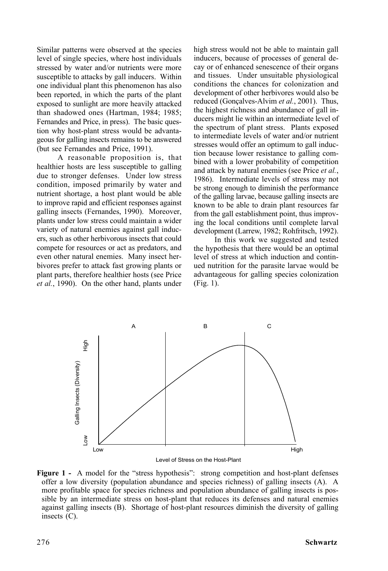Similar patterns were observed at the species level of single species, where host individuals stressed by water and/or nutrients were more susceptible to attacks by gall inducers. Within one individual plant this phenomenon has also been reported, in which the parts of the plant exposed to sunlight are more heavily attacked than shadowed ones (Hartman, 1984; 1985; Fernandes and Price, in press). The basic question why host-plant stress would be advantageous for galling insects remains to be answered (but see Fernandes and Price, 1991).

A reasonable proposition is, that healthier hosts are less susceptible to galling due to stronger defenses. Under low stress condition, imposed primarily by water and nutrient shortage, a host plant would be able to improve rapid and efficient responses against galling insects (Fernandes, 1990). Moreover, plants under low stress could maintain a wider variety of natural enemies against gall inducers, such as other herbivorous insects that could compete for resources or act as predators, and even other natural enemies. Many insect herbivores prefer to attack fast growing plants or plant parts, therefore healthier hosts (see Price *et al.*, 1990). On the other hand, plants under high stress would not be able to maintain gall inducers, because of processes of general decay or of enhanced senescence of their organs and tissues. Under unsuitable physiological conditions the chances for colonization and development of other herbivores would also be reduced (Gonçalves-Alvim *et al.*, 2001). Thus, the highest richness and abundance of gall inducers might lie within an intermediate level of the spectrum of plant stress. Plants exposed to intermediate levels of water and/or nutrient stresses would offer an optimum to gall induction because lower resistance to galling combined with a lower probability of competition and attack by natural enemies (see Price *et al.*, 1986). Intermediate levels of stress may not be strong enough to diminish the performance of the galling larvae, because galling insects are known to be able to drain plant resources far from the gall establishment point, thus improving the local conditions until complete larval development (Larrew, 1982; Rohfritsch, 1992).

In this work we suggested and tested the hypothesis that there would be an optimal level of stress at which induction and continued nutrition for the parasite larvae would be advantageous for galling species colonization (Fig. 1).



Level of Stress on the Host-Plant

**Figure 1 -** A model for the "stress hypothesis": strong competition and host-plant defenses offer a low diversity (population abundance and species richness) of galling insects (A). A more profitable space for species richness and population abundance of galling insects is possible by an intermediate stress on host-plant that reduces its defenses and natural enemies against galling insects (B). Shortage of host-plant resources diminish the diversity of galling insects (C).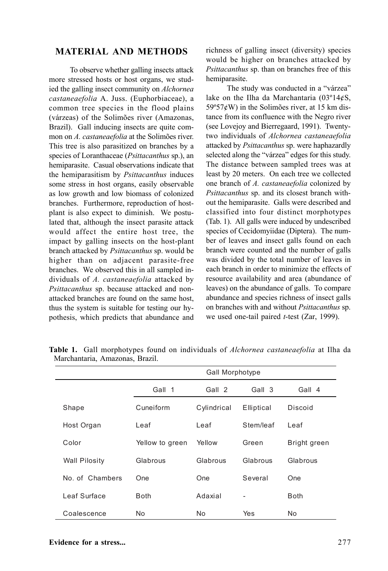### **MATERIAL AND METHODS**

To observe whether galling insects attack more stressed hosts or host organs, we studied the galling insect community on *Alchornea castaneaefolia* A. Juss. (Euphorbiaceae), a common tree species in the flood plains (várzeas) of the Solimões river (Amazonas, Brazil). Gall inducing insects are quite common on *A. castaneaefolia* at the Solimões river. This tree is also parasitized on branches by a species of Loranthaceae (*Psittacanthus* sp.), an hemiparasite. Casual observations indicate that the hemiparasitism by *Psittacanthus* induces some stress in host organs, easily observable as low growth and low biomass of colonized branches. Furthermore, reproduction of hostplant is also expect to diminish. We postulated that, although the insect parasite attack would affect the entire host tree, the impact by galling insects on the host-plant branch attacked by *Psittacanthus* sp. would be higher than on adjacent parasite-free branches. We observed this in all sampled individuals of *A. castaneaefolia* attacked by *Psittacanthus* sp. because attacked and nonattacked branches are found on the same host, thus the system is suitable for testing our hypothesis, which predicts that abundance and

richness of galling insect (diversity) species would be higher on branches attacked by *Psittacanthus* sp. than on branches free of this hemiparasite.

The study was conducted in a "várzea" lake on the Ilha da Marchantaria  $(03^{\circ}14\acute{e}S)$ ,  $59°57¢$ W) in the Solimões river, at 15 km distance from its confluence with the Negro river (see Lovejoy and Bierregaard, 1991). Twentytwo individuals of *Alchornea castaneaefolia* attacked by *Psittacanthus* sp. were haphazardly selected along the "várzea" edges for this study. The distance between sampled trees was at least by 20 meters. On each tree we collected one branch of *A. castaneaefolia* colonized by *Psittacanthus* sp. and its closest branch without the hemiparasite. Galls were described and classified into four distinct morphotypes (Tab. 1). All galls were induced by undescribed species of Cecidomyiidae (Diptera). The number of leaves and insect galls found on each branch were counted and the number of galls was divided by the total number of leaves in each branch in order to minimize the effects of resource availability and area (abundance of leaves) on the abundance of galls. To compare abundance and species richness of insect galls on branches with and without *Psittacanthus* sp. we used one-tail paired *t*-test (Zar, 1999).

|                      | Gall Morphotype |             |            |              |
|----------------------|-----------------|-------------|------------|--------------|
|                      | Gall 1          | Gall 2      | Gall 3     | Gall 4       |
| Shape                | Cuneiform       | Cylindrical | Elliptical | Discoid      |
| Host Organ           | Leaf            | Leaf        | Stem/leaf  | Leaf         |
| Color                | Yellow to green | Yellow      | Green      | Bright green |
| <b>Wall Pilosity</b> | Glabrous        | Glabrous    | Glabrous   | Glabrous     |
| No of Chambers       | One             | One         | Several    | One          |
| Leaf Surface         | <b>Both</b>     | Adaxial     |            | <b>Both</b>  |
| Coalescence          | No              | No          | Yes        | No           |

**Table 1.** Gall morphotypes found on individuals of *Alchornea castaneaefolia* at Ilha da Marchantaria, Amazonas, Brazil.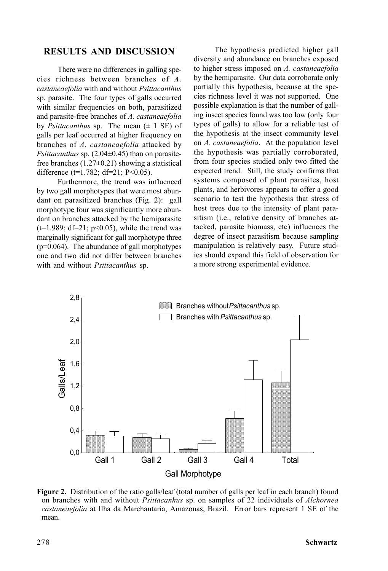## **RESULTS AND DISCUSSION**

There were no differences in galling species richness between branches of *A. castaneaefolia* with and without *Psittacanthus* sp. parasite. The four types of galls occurred with similar frequencies on both, parasitized and parasite-free branches of *A. castaneaefolia* by *Psittacanthus* sp. The mean  $(\pm 1 \text{ SE})$  of galls per leaf occurred at higher frequency on branches of *A. castaneaefolia* attacked by *Psittacanthus* sp. (2.04±0.45) than on parasitefree branches  $(1.27\pm0.21)$  showing a statistical difference ( $t=1.782$ ; d $t=21$ ; P<0.05).

Furthermore, the trend was influenced by two gall morphotypes that were most abundant on parasitized branches (Fig. 2): gall morphotype four was significantly more abundant on branches attacked by the hemiparasite ( $t=1.989$ ;  $df=21$ ;  $p<0.05$ ), while the trend was marginally significant for gall morphotype three (p=0.064). The abundance of gall morphotypes one and two did not differ between branches with and without *Psittacanthus* sp.

The hypothesis predicted higher gall diversity and abundance on branches exposed to higher stress imposed on *A. castaneaefolia* by the hemiparasite*.* Our data corroborate only partially this hypothesis, because at the species richness level it was not supported. One possible explanation is that the number of galling insect species found was too low (only four types of galls) to allow for a reliable test of the hypothesis at the insect community level on *A. castaneaefolia*. At the population level the hypothesis was partially corroborated, from four species studied only two fitted the expected trend. Still, the study confirms that systems composed of plant parasites, host plants, and herbivores appears to offer a good scenario to test the hypothesis that stress of host trees due to the intensity of plant parasitism (i.e., relative density of branches attacked, parasite biomass, etc) influences the degree of insect parasitism because sampling manipulation is relatively easy. Future studies should expand this field of observation for a more strong experimental evidence.



**Figure 2.** Distribution of the ratio galls/leaf (total number of galls per leaf in each branch) found on branches with and without *Psittacanhus* sp. on samples of 22 individuals of *Alchornea castaneaefolia* at Ilha da Marchantaria, Amazonas, Brazil. Error bars represent 1 SE of the mean.